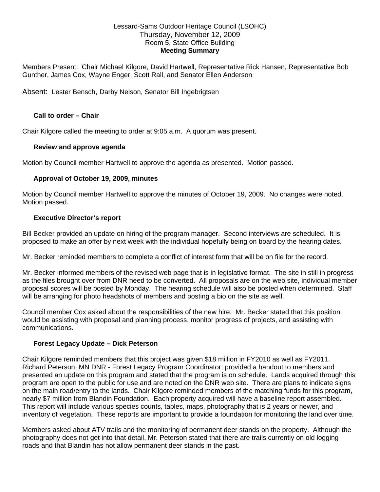#### Lessard-Sams Outdoor Heritage Council (LSOHC) Thursday, November 12, 2009 Room 5, State Office Building **Meeting Summary**

Members Present: Chair Michael Kilgore, David Hartwell, Representative Rick Hansen, Representative Bob Gunther, James Cox, Wayne Enger, Scott Rall, and Senator Ellen Anderson

Absent: Lester Bensch, Darby Nelson, Senator Bill Ingebrigtsen

### **Call to order – Chair**

Chair Kilgore called the meeting to order at 9:05 a.m. A quorum was present.

### **Review and approve agenda**

Motion by Council member Hartwell to approve the agenda as presented. Motion passed.

### **Approval of October 19, 2009, minutes**

Motion by Council member Hartwell to approve the minutes of October 19, 2009. No changes were noted. Motion passed.

### **Executive Director's report**

Bill Becker provided an update on hiring of the program manager. Second interviews are scheduled. It is proposed to make an offer by next week with the individual hopefully being on board by the hearing dates.

Mr. Becker reminded members to complete a conflict of interest form that will be on file for the record.

Mr. Becker informed members of the revised web page that is in legislative format. The site in still in progress as the files brought over from DNR need to be converted. All proposals are on the web site, individual member proposal scores will be posted by Monday. The hearing schedule will also be posted when determined. Staff will be arranging for photo headshots of members and posting a bio on the site as well.

Council member Cox asked about the responsibilities of the new hire. Mr. Becker stated that this position would be assisting with proposal and planning process, monitor progress of projects, and assisting with communications.

# **Forest Legacy Update – Dick Peterson**

Chair Kilgore reminded members that this project was given \$18 million in FY2010 as well as FY2011. Richard Peterson, MN DNR - Forest Legacy Program Coordinator, provided a handout to members and presented an update on this program and stated that the program is on schedule. Lands acquired through this program are open to the public for use and are noted on the DNR web site. There are plans to indicate signs on the main road/entry to the lands. Chair Kilgore reminded members of the matching funds for this program, nearly \$7 million from Blandin Foundation. Each property acquired will have a baseline report assembled. This report will include various species counts, tables, maps, photography that is 2 years or newer, and inventory of vegetation. These reports are important to provide a foundation for monitoring the land over time.

Members asked about ATV trails and the monitoring of permanent deer stands on the property. Although the photography does not get into that detail, Mr. Peterson stated that there are trails currently on old logging roads and that Blandin has not allow permanent deer stands in the past.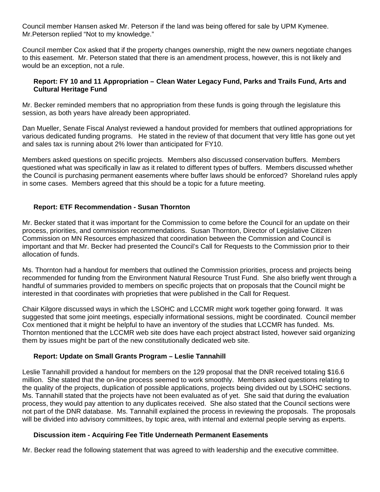Council member Hansen asked Mr. Peterson if the land was being offered for sale by UPM Kymenee. Mr.Peterson replied "Not to my knowledge."

Council member Cox asked that if the property changes ownership, might the new owners negotiate changes to this easement. Mr. Peterson stated that there is an amendment process, however, this is not likely and would be an exception, not a rule.

### **Report: FY 10 and 11 Appropriation – Clean Water Legacy Fund, Parks and Trails Fund, Arts and Cultural Heritage Fund**

Mr. Becker reminded members that no appropriation from these funds is going through the legislature this session, as both years have already been appropriated.

Dan Mueller, Senate Fiscal Analyst reviewed a handout provided for members that outlined appropriations for various dedicated funding programs. He stated in the review of that document that very little has gone out yet and sales tax is running about 2% lower than anticipated for FY10.

Members asked questions on specific projects. Members also discussed conservation buffers. Members questioned what was specifically in law as it related to different types of buffers. Members discussed whether the Council is purchasing permanent easements where buffer laws should be enforced? Shoreland rules apply in some cases. Members agreed that this should be a topic for a future meeting.

### **Report: ETF Recommendation - Susan Thornton**

Mr. Becker stated that it was important for the Commission to come before the Council for an update on their process, priorities, and commission recommendations. Susan Thornton, Director of Legislative Citizen Commission on MN Resources emphasized that coordination between the Commission and Council is important and that Mr. Becker had presented the Council's Call for Requests to the Commission prior to their allocation of funds.

Ms. Thornton had a handout for members that outlined the Commission priorities, process and projects being recommended for funding from the Environment Natural Resource Trust Fund. She also briefly went through a handful of summaries provided to members on specific projects that on proposals that the Council might be interested in that coordinates with proprieties that were published in the Call for Request.

Chair Kilgore discussed ways in which the LSOHC and LCCMR might work together going forward. It was suggested that some joint meetings, especially informational sessions, might be coordinated. Council member Cox mentioned that it might be helpful to have an inventory of the studies that LCCMR has funded. Ms. Thornton mentioned that the LCCMR web site does have each project abstract listed, however said organizing them by issues might be part of the new constitutionally dedicated web site.

### **Report: Update on Small Grants Program – Leslie Tannahill**

Leslie Tannahill provided a handout for members on the 129 proposal that the DNR received totaling \$16.6 million. She stated that the on-line process seemed to work smoothly. Members asked questions relating to the quality of the projects, duplication of possible applications, projects being divided out by LSOHC sections. Ms. Tannahill stated that the projects have not been evaluated as of yet. She said that during the evaluation process, they would pay attention to any duplicates received. She also stated that the Council sections were not part of the DNR database. Ms. Tannahill explained the process in reviewing the proposals. The proposals will be divided into advisory committees, by topic area, with internal and external people serving as experts.

### **Discussion item - Acquiring Fee Title Underneath Permanent Easements**

Mr. Becker read the following statement that was agreed to with leadership and the executive committee.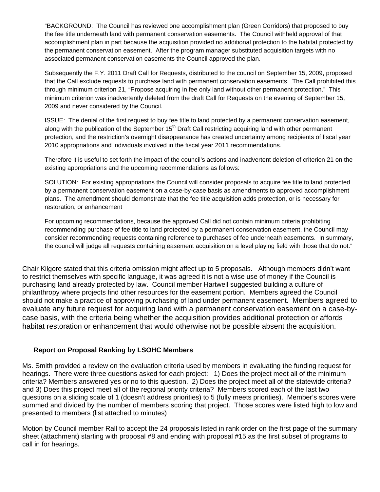"BACKGROUND: The Council has reviewed one accomplishment plan (Green Corridors) that proposed to buy the fee title underneath land with permanent conservation easements. The Council withheld approval of that accomplishment plan in part because the acquisition provided no additional protection to the habitat protected by the permanent conservation easement. After the program manager substituted acquisition targets with no associated permanent conservation easements the Council approved the plan.

Subsequently the F.Y. 2011 Draft Call for Requests, distributed to the council on September 15, 2009, proposed that the Call exclude requests to purchase land with permanent conservation easements. The Call prohibited this through minimum criterion 21, "Propose acquiring in fee only land without other permanent protection." This minimum criterion was inadvertently deleted from the draft Call for Requests on the evening of September 15, 2009 and never considered by the Council.

ISSUE: The denial of the first request to buy fee title to land protected by a permanent conservation easement, along with the publication of the September 15<sup>th</sup> Draft Call restricting acquiring land with other permanent protection, and the restriction's overnight disappearance has created uncertainty among recipients of fiscal year 2010 appropriations and individuals involved in the fiscal year 2011 recommendations.

Therefore it is useful to set forth the impact of the council's actions and inadvertent deletion of criterion 21 on the existing appropriations and the upcoming recommendations as follows:

SOLUTION: For existing appropriations the Council will consider proposals to acquire fee title to land protected by a permanent conservation easement on a case-by-case basis as amendments to approved accomplishment plans. The amendment should demonstrate that the fee title acquisition adds protection, or is necessary for restoration, or enhancement

For upcoming recommendations, because the approved Call did not contain minimum criteria prohibiting recommending purchase of fee title to land protected by a permanent conservation easement, the Council may consider recommending requests containing reference to purchases of fee underneath easements. In summary, the council will judge all requests containing easement acquisition on a level playing field with those that do not."

Chair Kilgore stated that this criteria omission might affect up to 5 proposals. Although members didn't want to restrict themselves with specific language, it was agreed it is not a wise use of money if the Council is purchasing land already protected by law. Council member Hartwell suggested building a culture of philanthropy where projects find other resources for the easement portion. Members agreed the Council should not make a practice of approving purchasing of land under permanent easement. Members agreed to evaluate any future request for acquiring land with a permanent conservation easement on a case-bycase basis, with the criteria being whether the acquisition provides additional protection or affords habitat restoration or enhancement that would otherwise not be possible absent the acquisition.

### **Report on Proposal Ranking by LSOHC Members**

Ms. Smith provided a review on the evaluation criteria used by members in evaluating the funding request for hearings. There were three questions asked for each project: 1) Does the project meet all of the minimum criteria? Members answered yes or no to this question. 2) Does the project meet all of the statewide criteria? and 3) Does this project meet all of the regional priority criteria? Members scored each of the last two questions on a sliding scale of 1 (doesn't address priorities) to 5 (fully meets priorities). Member's scores were summed and divided by the number of members scoring that project. Those scores were listed high to low and presented to members (list attached to minutes)

Motion by Council member Rall to accept the 24 proposals listed in rank order on the first page of the summary sheet (attachment) starting with proposal #8 and ending with proposal #15 as the first subset of programs to call in for hearings.